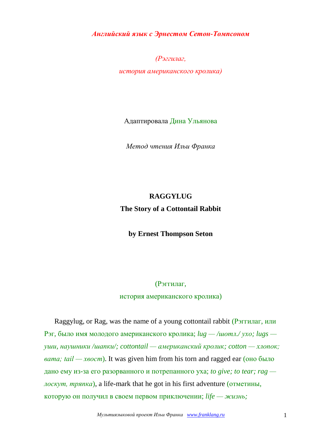*Английский язык с Эрнестом Сетон-Томпсоном*

*(Рэггилаг,*

*история американского кролика)*

Адаптировала Дина Ульянова

*Метод чтения Ильи Франка*

## **RAGGYLUG The Story of a Cottontail Rabbit**

**by Ernest Thompson Seton**

## (Рэггилаг,

история американского кролика)

Raggylug, or Rag, was the name of a young cottontail rabbit (Рэггилаг, или Рэг, было имя молодого американского кролика; *lug — /шотл./ ухо; lugs уши, наушники /шапки/; cottontail — американский кролик; cotton — хлопок; вата; tail — хвост*). It was given him from his torn and ragged ear (оно было дано ему из-за его разорванного и потрепанного уха; *to give; to tear; rag лоскут, тряпка*), a life-mark that he got in his first adventure (отметины, которую он получил в своем первом приключении; *life — жизнь;*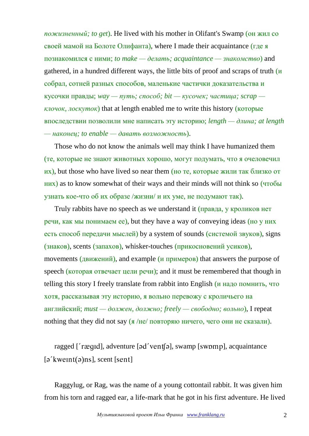*пожизненный; to get*). He lived with his mother in Olifant's Swamp (он жил со своей мамой на Болоте Олифанта), where I made their acquaintance (где я познакомился с ними; *to make — делать; acquaintance — знакомство*) and gathered, in a hundred different ways, the little bits of proof and scraps of truth  $\overline{u}$ собрал, сотней разных способов, маленькие частички доказательства и кусочки правды; *way — путь; способ; bit — кусочек; частица; scrap клочок, лоскуток*) that at length enabled me to write this history (которые впоследствии позволили мне написать эту историю; *length — длина; at length — наконец; to enable — давать возможность*).

Those who do not know the animals well may think I have humanized them (те, которые не знают животных хорошо, могут подумать, что я очеловечил  $\mu$ x), but those who have lived so near them (но те, которые жили так близко от них) as to know somewhat of their ways and their minds will not think so (чтобы узнать кое-что об их образе /жизни/ и их уме, не подумают так).

Truly rabbits have no speech as we understand it (правда, у кроликов нет речи, как мы понимаем ее), but they have a way of conveying ideas (но у них есть способ передачи мыслей) by a system of sounds (системой звуков), signs (знаков), scents (запахов), whisker-touches (прикосновений усиков), movements (движений), and example (и примеров) that answers the purpose of speech (которая отвечает цели речи); and it must be remembered that though in telling this story I freely translate from rabbit into English (и надо помнить, что хотя, рассказывая эту историю, я вольно перевожу с кроличьего на английский; *must — должен, должно; freely — свободно; вольно*), I repeat nothing that they did not say  $\frac{g}{H}$  /не/ повторяю ничего, чего они не сказали).

ragged ['rægɪd], adventure [əd'ventʃə], swamp [swɒmp], acquaintance  $\lceil$  a' kweint(a) ns, scent [sent]

Raggylug, or Rag, was the name of a young cottontail rabbit. It was given him from his torn and ragged ear, a life-mark that he got in his first adventure. He lived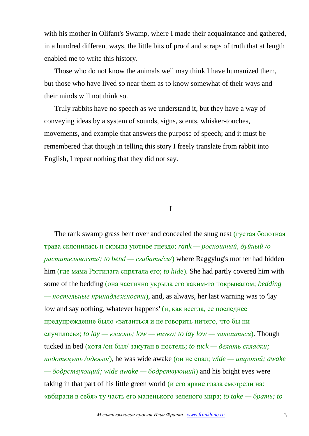with his mother in Olifant's Swamp, where I made their acquaintance and gathered, in a hundred different ways, the little bits of proof and scraps of truth that at length enabled me to write this history.

Those who do not know the animals well may think I have humanized them, but those who have lived so near them as to know somewhat of their ways and their minds will not think so.

Truly rabbits have no speech as we understand it, but they have a way of conveying ideas by a system of sounds, signs, scents, whisker-touches, movements, and example that answers the purpose of speech; and it must be remembered that though in telling this story I freely translate from rabbit into English, I repeat nothing that they did not say.

I

The rank swamp grass bent over and concealed the snug nest (густая болотная трава склонилась и скрыла уютное гнездо; *rank — роскошный, буйный /о растительности/; to bend — сгибать/ся/*) where Raggylug's mother had hidden him (где мама Рэггилага спрятала его; *to hide*). She had partly covered him with some of the bedding (она частично укрыла его каким-то покрывалом; *bedding — постельные принадлежности*), and, as always, her last warning was to 'lay low and say nothing, whatever happens' (и, как всегда, ее последнее предупреждение было «затаиться и не говорить ничего, что бы ни случилось»; *to lay — класть; low — низко; to lay low — затаиться*). Though tucked in bed (хотя /он был/ закутан в постель; *to tuck — делать складки; подоткнуть /одеяло/*), he was wide awake (он не спал; *wide — широкий; awake — бодрствующий; wide awake — бодрствующий*) and his bright eyes were taking in that part of his little green world (и его яркие глаза смотрели на: «вбирали в себя» ту часть его маленького зеленого мира; *to take — брать; to*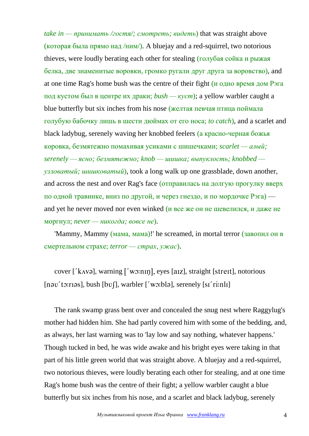*take in — принимать /гостя/; смотреть; видеть*) that was straight above (которая была прямо над /ним/). A bluejay and a red-squirrel, two notorious thieves, were loudly berating each other for stealing (голубая сойка и рыжая белка, две знаменитые воровки, громко ругали друг друга за воровство), and at one time Rag's home bush was the centre of their fight (и одно время дом Рэга под кустом был в центре их драки; *bush — куст*); a yellow warbler caught a blue butterfly but six inches from his nose (желтая певчая птица поймала голубую бабочку лишь в шести дюймах от его носа; *to catch*), and a scarlet and black ladybug, serenely waving her knobbed feelers (а красно-черная божья коровка, безмятежно помахивая усиками с шишечками; *scarlet — алый; serenely — ясно; безмятежно; knob — шишка; выпуклость; knobbed узловатый; шишковатый*), took a long walk up one grassblade, down another, and across the nest and over Rag's face (отправилась на долгую прогулку вверх по одной травинке, вниз по другой, и через гнездо, и по мордочке Рэга) and yet he never moved nor even winked ( $\mu$  все же он не шевелился, и даже не моргнул; *never — никогда; вовсе не*).

'Mammy, Mammy (мама, мама)!' he screamed, in mortal terror (завопил он в смертельном страхе; *terror — страх, ужас*).

cover [' $k$ <sub>A</sub>v $\varphi$ ], warning ['w $\varphi$ :nin], eyes [aiz], straight [streit], notorious  $[n \infty'$  to: rias], bush  $[b \circ j]$ , warbler  $[i \circ j \circ k]$ , serenely  $[s i' \circ i \circ l]$ 

The rank swamp grass bent over and concealed the snug nest where Raggylug's mother had hidden him. She had partly covered him with some of the bedding, and, as always, her last warning was to 'lay low and say nothing, whatever happens.' Though tucked in bed, he was wide awake and his bright eyes were taking in that part of his little green world that was straight above. A bluejay and a red-squirrel, two notorious thieves, were loudly berating each other for stealing, and at one time Rag's home bush was the centre of their fight; a yellow warbler caught a blue butterfly but six inches from his nose, and a scarlet and black ladybug, serenely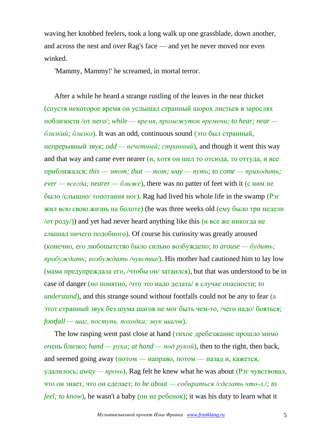waving her knobbed feelers, took a long walk up one grassblade, down another, and across the nest and over Rag's face — and yet he never moved nor even winked.

'Mammy, Mammy!' he screamed, in mortal terror.

After a while he heard a strange rustling of the leaves in the near thicket (спустя некоторое время он услышал странный шорох листьев в зарослях поблизости /от него/; *while — время, промежуток времени; to hear; near близкий; близко*). It was an odd, continuous sound (это был странный, непрерывный звук; *odd — нечетный; странный*), and though it went this way and that way and came ever nearer  $(u, x$  хотя он шел то отсюда, то оттуда, и все приближался; *this — этот; that — тот; way — путь; to come — приходить; ever — всегда; nearer — ближе*), there was no patter of feet with it (с ним не было /слышно/ топотания ног). Rag had lived his whole life in the swamp (Рэг жил всю свою жизнь на болоте) (he was three weeks old (ему было три недели  $\sigma$  (от роду)) and yet had never heard anything like this (и все же никогда не слышал ничего подобного). Of course his curiosity was greatly aroused (конечно, его любопытство было сильно возбуждено; *to arouse — будить; пробуждать; возбуждать /чувства/*). His mother had cautioned him to lay low (мама предупреждала его, /чтобы он/ затаился), but that was understood to be in case of danger (но понятно, /что это надо делать/ в случае опасности; *to understand*), and this strange sound without footfalls could not be any to fear (a этот странный звук без шума шагов не мог быть чем-то, /чего надо/ бояться; *footfall — шаг, поступь, походка; звук шагов*).

The low rasping went past close at hand (тихое дребезжание прошло мимо очень близко; *hand — рука; at hand — под рукой*), then to the right, then back, and seemed going away (потом — направо, потом — назад и, кажется, удалилось; *away — прочь*). Rag felt he knew what he was about (Рэг чувствовал, что он знает, что он сделает; *to be about — собираться /сделать что-л./; to feel; to know*), he wasn't a baby (он не ребенок); it was his duty to learn what it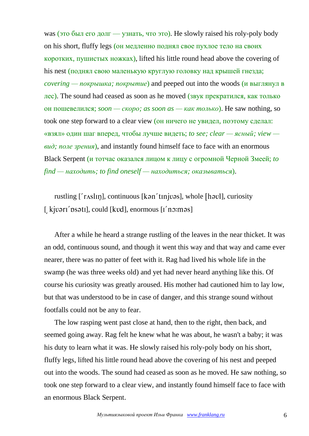was (это был его долг — узнать, что это). He slowly raised his roly-poly body on his short, fluffy legs (он медленно поднял свое пухлое тело на своих коротких, пушистых ножках), lifted his little round head above the covering of his nest (поднял свою маленькую круглую головку над крышей гнезда; *covering — покрышка; покрытие*) and peeped out into the woods (и выглянул в лес). The sound had ceased as soon as he moved (звук прекратился, как только он пошевелился; *soon — скоро; as soon as — как только*). He saw nothing, so took one step forward to a clear view (он ничего не увидел, поэтому сделал: «взял» один шаг вперед, чтобы лучше видеть; *to see; clear — ясный; view вид; поле зрения*), and instantly found himself face to face with an enormous Black Serpent (и тотчас оказался лицом к лицу с огромной Черной Змеей; *to find — находить; to find oneself — находиться; оказываться*).

rustling  $\lceil r \times \lceil r \cdot \frac{r}{r} \rceil$ , continuous  $\lceil \lceil \arceil \cdot \frac{r}{r} \rceil$ , whole  $\lceil \lceil \arceil \cdot \frac{r}{r} \rceil$ , curiosity [  $\frac{1}{2}$  kjuari' psati], could [kud], enormous [i' no: mas]

After a while he heard a strange rustling of the leaves in the near thicket. It was an odd, continuous sound, and though it went this way and that way and came ever nearer, there was no patter of feet with it. Rag had lived his whole life in the swamp (he was three weeks old) and yet had never heard anything like this. Of course his curiosity was greatly aroused. His mother had cautioned him to lay low, but that was understood to be in case of danger, and this strange sound without footfalls could not be any to fear.

The low rasping went past close at hand, then to the right, then back, and seemed going away. Rag felt he knew what he was about, he wasn't a baby; it was his duty to learn what it was. He slowly raised his roly-poly body on his short, fluffy legs, lifted his little round head above the covering of his nest and peeped out into the woods. The sound had ceased as soon as he moved. He saw nothing, so took one step forward to a clear view, and instantly found himself face to face with an enormous Black Serpent.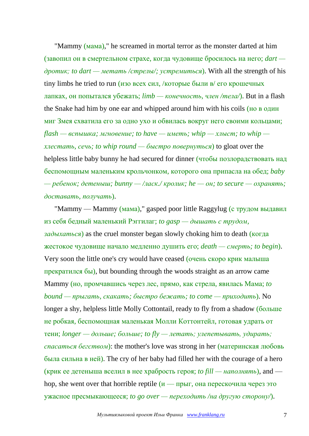"Матту (мама)," he screamed in mortal terror as the monster darted at him (завопил он в смертельном страхе, когда чудовище бросилось на него; *dart дротик; to dart — метать /стрелы/; устремиться*). With all the strength of his tiny limbs he tried to run (изо всех сил, /которые были в/ его крошечных лапках, он попытался убежать; *limb — конечность, член /тела/*). But in a flash the Snake had him by one ear and whipped around him with his coils (но в один миг Змея схватила его за одно ухо и обвилась вокруг него своими кольцами; *flash — вспышка; мгновение; to have — иметь; whip — хлыст; to whip хлестать, сечь; to whip round — быстро повернуться*) to gloat over the helpless little baby bunny he had secured for dinner (чтобы позлорадствовать над беспомощным маленьким крольчонком, которого она припасла на обед; *baby — ребенок; детеныш; bunny — /ласк./ кролик; he — он; to secure — охранять; доставать, получать*).

"Mammy — Mammy (мама)," gasped poor little Raggylug (с трудом выдавил из себя бедный маленький Рэггилаг; *to gasp — дышать с трудом, задыхаться*) as the cruel monster began slowly choking him to death (когда жестокое чудовище начало медленно душить его; *death — смерть; to begin*). Very soon the little one's cry would have ceased (очень скоро крик малыша прекратился бы), but bounding through the woods straight as an arrow came Mammy (но, промчавшись через лес, прямо, как стрела, явилась Мама; *to bound — прыгать, скакать; быстро бежать; to come — приходить*). No longer a shy, helpless little Molly Cottontail, ready to fly from a shadow (больше не робкая, беспомощная маленькая Молли Коттонтейл, готовая удрать от тени; *longer — дольше; больше; to fly — летать; улепетывать, удирать; спасаться бегством*): the mother's love was strong in her (материнская любовь была сильна в ней). The cry of her baby had filled her with the courage of a hero (крик ее детеныша вселил в нее храбрость героя; *to fill — наполнять*), and hop, she went over that horrible reptile  $(u - \pi p_{\text{bIT}})$ , она перескочила через это ужасное пресмыкающееся; *to go over — переходить /на другую сторону/*).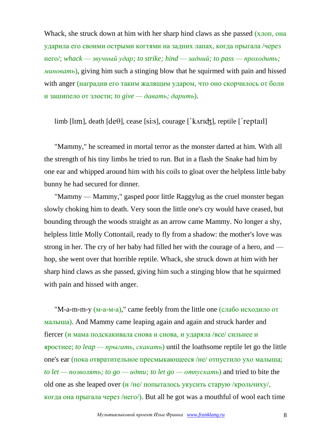Whack, she struck down at him with her sharp hind claws as she passed (хлоп, она ударила его своими острыми когтями на задних лапах, когда прыгала /через него/; *whack — звучный удар; to strike; hind — задний; to pass — проходить; миновать*), giving him such a stinging blow that he squirmed with pain and hissed with anger (наградив его таким жалящим ударом, что оно скорчилось от боли и зашипело от злости; *to give — давать; дарить*).

 $\lim_{h \to 0}$  [lim], death [de $\theta$ ], cease [si:s], courage ['kʌrɪdʒ], reptile ['reptail]

"Mammy," he screamed in mortal terror as the monster darted at him. With all the strength of his tiny limbs he tried to run. But in a flash the Snake had him by one ear and whipped around him with his coils to gloat over the helpless little baby bunny he had secured for dinner.

"Mammy — Mammy," gasped poor little Raggylug as the cruel monster began slowly choking him to death. Very soon the little one's cry would have ceased, but bounding through the woods straight as an arrow came Mammy. No longer a shy, helpless little Molly Cottontail, ready to fly from a shadow: the mother's love was strong in her. The cry of her baby had filled her with the courage of a hero, and hop, she went over that horrible reptile. Whack, she struck down at him with her sharp hind claws as she passed, giving him such a stinging blow that he squirmed with pain and hissed with anger.

"M-a-m-m-y (м-а-м-а)," came feebly from the little one (слабо исходило от малыша). And Mammy came leaping again and again and struck harder and fiercer (и мама подскакивала снова и снова, и ударяла /все/ сильнее и яростнее; *to leap — прыгать, скакать*) until the loathsome reptile let go the little one's ear (пока отвратительное пресмыкающееся /не/ отпустило ухо малыша; *to let — позволять; to go — идти; to let go — отпускать*) and tried to bite the old one as she leaped over  $\frac{U}{H}$  /не/ попыталось укусить старую /крольчиху/, когда она прыгала через /него/). But all he got was a mouthful of wool each time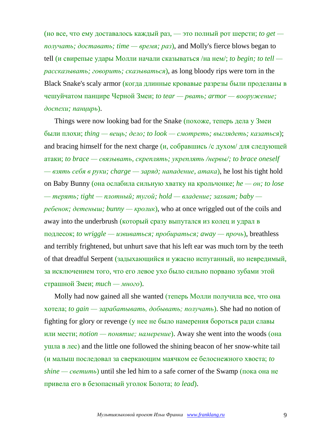(но все, что ему доставалось каждый раз, — это полный рот шерсти; *to get получать; доставать; time — время; раз*), and Molly's fierce blows began to tell (и свирепые удары Молли начали сказываться /на нем/; *to begin; to tell рассказывать; говорить; сказываться*), as long bloody rips were torn in the Black Snake's scaly armor (когда длинные кровавые разрезы были проделаны в чешуйчатом панцире Черной Змеи; *to tear — рвать; armor — вооружение; доспехи; панцирь*).

Things were now looking bad for the Snake (похоже, теперь дела у Змеи были плохи; *thing — вещь; дело; to look — смотреть; выглядеть; казаться*); and bracing himself for the next charge  $(u, \text{co6}$ равшись /с духом/ для следующей атаки; *to brace — связывать, скреплять; укреплять /нервы/; to brace oneself — взять себя в руки; charge — заряд; нападение, атака*), he lost his tight hold on Baby Bunny (она ослабила сильную хватку на крольчонке; *he — он; to lose — терять; tight — плотный; тугой; hold — владение; захват; baby ребенок; детеныш; bunny — кролик*), who at once wriggled out of the coils and away into the underbrush (который сразу выпутался из колец и удрал в подлесок; *to wriggle — извиваться; пробираться; away — прочь*), breathless and terribly frightened, but unhurt save that his left ear was much torn by the teeth of that dreadful Serpent (задыхающийся и ужасно испуганный, но невредимый, за исключением того, что его левое ухо было сильно порвано зубами этой страшной Змеи; *much — много*).

Molly had now gained all she wanted (теперь Молли получила все, что она хотела; *to gain — зарабатывать, добывать; получать*). She had no notion of fighting for glory or revenge (у нее не было намерения бороться ради славы или мести; *notion — понятие; намерение*). Away she went into the woods (она ушла в лес) and the little one followed the shining beacon of her snow-white tail (и малыш последовал за сверкающим маячком ее белоснежного хвоста; *to shine — светить*) until she led him to a safe corner of the Swamp (пока она не привела его в безопасный уголок Болота; *to lead*).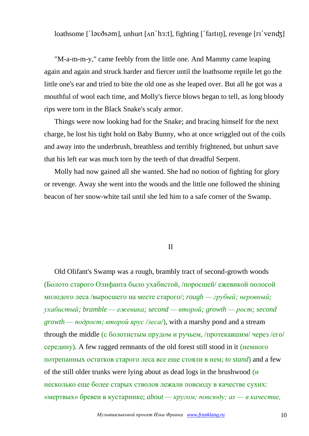loathsome [' $|$ ]  $|$ ]  $\alpha$  $\delta$ s $\alpha$ ], unhurt [ $\alpha$ n' $\alpha$ ], fighting [' $\alpha$  $\beta$ ], revenge [ $\alpha$ ' $\alpha$  $\beta$ ]

"M-a-m-m-y," came feebly from the little one. And Mammy came leaping again and again and struck harder and fiercer until the loathsome reptile let go the little one's ear and tried to bite the old one as she leaped over. But all he got was a mouthful of wool each time, and Molly's fierce blows began to tell, as long bloody rips were torn in the Black Snake's scaly armor.

Things were now looking bad for the Snake; and bracing himself for the next charge, he lost his tight hold on Baby Bunny, who at once wriggled out of the coils and away into the underbrush, breathless and terribly frightened, but unhurt save that his left ear was much torn by the teeth of that dreadful Serpent.

Molly had now gained all she wanted. She had no notion of fighting for glory or revenge. Away she went into the woods and the little one followed the shining beacon of her snow-white tail until she led him to a safe corner of the Swamp.

## II

Old Olifant's Swamp was a rough, brambly tract of second-growth woods (Болото старого Олифанта было ухабистой, /поросшей/ ежевикой полосой молодого леса /выросшего на месте старого/; *rough — грубый; неровный; ухабистый; bramble — ежевика; second — второй; growth — рост; second growth — подрост; второй ярус /леса/*), with a marshy pond and a stream through the middle (с болотистым прудом и ручьем, /протекавшим/ через /его/ середину). A few ragged remnants of the old forest still stood in it (немного потрепанных остатков старого леса все еще стояли в нем; *to stand*) and a few of the still older trunks were lying about as dead logs in the brushwood (и несколько еще более старых стволов лежали повсюду в качестве сухих: «мертвых» бревен в кустарнике; *about — кругом; повсюду; as — в качестве,*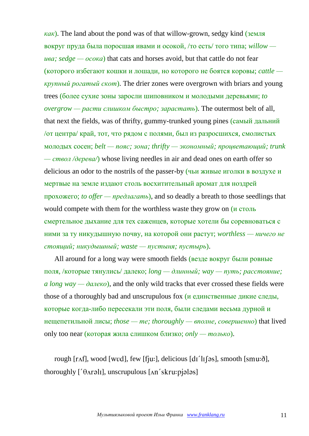*как*). The land about the pond was of that willow-grown, sedgy kind (земля вокруг пруда была поросшая ивами и осокой, /то есть/ того типа; *willow ива; sedge — осока*) that cats and horses avoid, but that cattle do not fear (которого избегают кошки и лошади, но которого не боятся коровы; *cattle крупный рогатый скот*). The drier zones were overgrown with briars and young trees (более сухие зоны заросли шиповником и молодыми деревьями; *to overgrow — расти слишком быстро; зарастать*). The outermost belt of all, that next the fields, was of thrifty, gummy-trunked young pines (самый дальний /от центра/ край, тот, что рядом с полями, был из разросшихся, смолистых молодых сосен; *belt — пояс; зона; thrifty — экономный; процветающий; trunk — ствол /дерева/*) whose living needles in air and dead ones on earth offer so delicious an odor to the nostrils of the passer-by (чьи живые иголки в воздухе и мертвые на земле издают столь восхитительный аромат для ноздрей прохожего; *to offer — предлагать*), and so deadly a breath to those seedlings that would compete with them for the worthless waste they grow on  $(\mu \text{ cron} \bar{b})$ смертельное дыхание для тех саженцев, которые хотели бы соревноваться с ними за ту никудышную почву, на которой они растут; *worthless — ничего не стоящий; никудышный; waste — пустыня; пустырь*).

All around for a long way were smooth fields (везде вокруг были ровные поля, /которые тянулись/ далеко; *long — длинный; way — путь; расстояние; a long way — далеко*), and the only wild tracks that ever crossed these fields were those of a thoroughly bad and unscrupulous fox (и единственные дикие следы, которые когда-либо пересекали эти поля, были следами весьма дурной и нещепетильной лисы; *those — те; thoroughly — вполне, совершенно*) that lived only too near (которая жила слишком близко; *only — только*).

rough [ $r \Delta f$ ], wood [wvd], few [ fju: ], delicious [ d1'  $l \Delta f$ ], smooth [smu: $\delta$ ], thoroughly  $\left[ \text{ar} \right]$ , unscrupulous  $\left[ \text{ar} \right]$  skru: pilles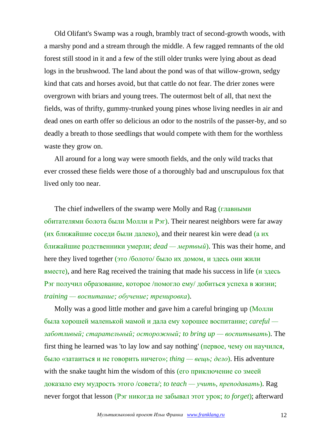Old Olifant's Swamp was a rough, brambly tract of second-growth woods, with a marshy pond and a stream through the middle. A few ragged remnants of the old forest still stood in it and a few of the still older trunks were lying about as dead logs in the brushwood. The land about the pond was of that willow-grown, sedgy kind that cats and horses avoid, but that cattle do not fear. The drier zones were overgrown with briars and young trees. The outermost belt of all, that next the fields, was of thrifty, gummy-trunked young pines whose living needles in air and dead ones on earth offer so delicious an odor to the nostrils of the passer-by, and so deadly a breath to those seedlings that would compete with them for the worthless waste they grow on.

All around for a long way were smooth fields, and the only wild tracks that ever crossed these fields were those of a thoroughly bad and unscrupulous fox that lived only too near.

The chief indwellers of the swamp were Molly and Rag (главными обитателями болота были Молли и Рэг). Their nearest neighbors were far away (их ближайшие соседи были далеко), and their nearest kin were dead (а их ближайшие родственники умерли; *dead — мертвый*). This was their home, and here they lived together (это /болото/ было их домом, и здесь они жили вместе), and here Rag received the training that made his success in life (и здесь Рэг получил образование, которое /помогло ему/ добиться успеха в жизни; *training — воспитание; обучение; тренировка*).

Molly was a good little mother and gave him a careful bringing up (Молли была хорошей маленькой мамой и дала ему хорошее воспитание; *careful заботливый; старательный; осторожный; to bring up — воспитывать*). The first thing he learned was 'to lay low and say nothing' (первое, чему он научился, было «затаиться и не говорить ничего»; *thing — вещь; дело*). His adventure with the snake taught him the wisdom of this (его приключение со змеей доказало ему мудрость этого /совета/; *to teach — учить, преподавать*). Rag never forgot that lesson (Рэг никогда не забывал этот урок; *to forget*); afterward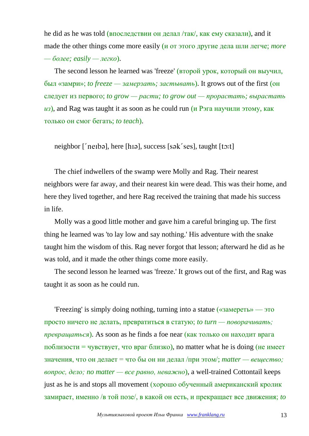he did as he was told (впоследствии он делал /так/, как ему сказали), and it made the other things come more easily (и от этого другие дела шли легче; *more — более; easily — легко*).

The second lesson he learned was 'freeze' (второй урок, который он выучил, был «замри»; *to freeze — замерзать; застывать*). It grows out of the first (он следует из первого; *to grow — расти; to grow out — прорастать; вырастать из*), and Rag was taught it as soon as he could run (и Рэга научили этому, как только он смог бегать; *to teach*).

neighbor  $\lceil$  neighbor  $\lceil$  neight), here  $\lceil$  hiad, success  $\lceil$  so k ses l, taught  $\lceil$  to: t

The chief indwellers of the swamp were Molly and Rag. Their nearest neighbors were far away, and their nearest kin were dead. This was their home, and here they lived together, and here Rag received the training that made his success in life.

Molly was a good little mother and gave him a careful bringing up. The first thing he learned was 'to lay low and say nothing.' His adventure with the snake taught him the wisdom of this. Rag never forgot that lesson; afterward he did as he was told, and it made the other things come more easily.

The second lesson he learned was 'freeze.' It grows out of the first, and Rag was taught it as soon as he could run.

'Freezing' is simply doing nothing, turning into a statue («замереть» — это просто ничего не делать, превратиться в статую; *to turn — поворачивать; превращаться*). As soon as he finds a foe near (как только он находит врага поблизости = чувствует, что враг близко), no matter what he is doing (не имеет значения, что он делает = что бы он ни делал /при этом/; *matter — вещество; вопрос, дело; no matter — все равно, неважно*), a well-trained Cottontail keeps just as he is and stops all movement (хорошо обученный американский кролик замирает, именно /в той позе/, в какой он есть, и прекращает все движения; *to*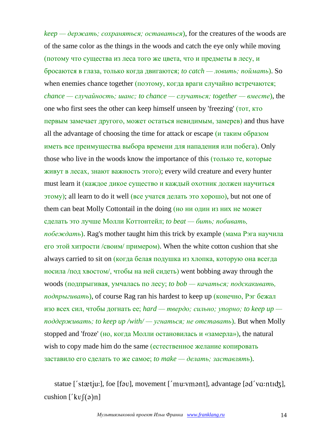*keep — держать; сохраняться; оставаться*), for the creatures of the woods are of the same color as the things in the woods and catch the eye only while moving (потому что существа из леса того же цвета, что и предметы в лесу, и бросаются в глаза, только когда двигаются; *to catch — ловить; поймать*). So when enemies chance together (поэтому, когда враги случайно встречаются; *chance — случайность; шанс; to chance — случаться; together — вместе*), the one who first sees the other can keep himself unseen by 'freezing' (тот, кто первым замечает другого, может остаться невидимым, замерев) and thus have all the advantage of choosing the time for attack or escape (и таким образом иметь все преимущества выбора времени для нападения или побега). Only those who live in the woods know the importance of this (только те, которые живут в лесах, знают важность этого); every wild creature and every hunter must learn it (каждое дикое существо и каждый охотник должен научиться этому); all learn to do it well (все учатся делать это хорошо), but not one of them can beat Molly Cottontail in the doing (но ни один из них не может сделать это лучше Молли Коттонтейл; *to beat — бить; побивать, побеждать*). Rag's mother taught him this trick by example (мама Рэга научила его этой хитрости /своим/ примером). When the white cotton cushion that she always carried to sit on (когда белая подушка из хлопка, которую она всегда носила /под хвостом/, чтобы на ней сидеть) went bobbing away through the woods (подпрыгивая, умчалась по лесу; *to bob — качаться; подскакивать, подпрыгивать*), of course Rag ran his hardest to keep up (конечно, Рэг бежал изо всех сил, чтобы догнать ее; *hard — твердо; сильно; упорно; to keep up поддерживать; to keep up /with/ — угнаться; не отставать*). But when Molly stopped and 'froze' (но, когда Молли остановилась и «замерла»), the natural wish to copy made him do the same (естественное желание копировать заставило его сделать то же самое; *to make — делать; заставлять*).

statue ['stætju:], foe [fav], movement ['mu:vmant], advantage [ad'vɑ:ntɪʤ], cushion  $['kv](\theta)$ n]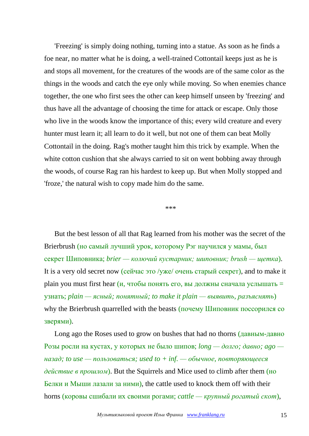'Freezing' is simply doing nothing, turning into a statue. As soon as he finds a foe near, no matter what he is doing, a well-trained Cottontail keeps just as he is and stops all movement, for the creatures of the woods are of the same color as the things in the woods and catch the eye only while moving. So when enemies chance together, the one who first sees the other can keep himself unseen by 'freezing' and thus have all the advantage of choosing the time for attack or escape. Only those who live in the woods know the importance of this; every wild creature and every hunter must learn it; all learn to do it well, but not one of them can beat Molly Cottontail in the doing. Rag's mother taught him this trick by example. When the white cotton cushion that she always carried to sit on went bobbing away through the woods, of course Rag ran his hardest to keep up. But when Molly stopped and 'froze,' the natural wish to copy made him do the same.

\*\*\*

But the best lesson of all that Rag learned from his mother was the secret of the Brierbrush (но самый лучший урок, которому Рэг научился у мамы, был секрет Шиповника; *brier — колючий кустарник; шиповник; brush — щетка*). It is a very old secret now (сейчас это /уже/ очень старый секрет), and to make it plain you must first hear  $(u, v, v)$  понять его, вы должны сначала услышать = узнать; *plain — ясный; понятный; to make it plain — выявить, разъяснять*) why the Brierbrush quarrelled with the beasts (почему Шиповник поссорился со зверями).

Long ago the Roses used to grow on bushes that had no thorns (давным-давно Розы росли на кустах, у которых не было шипов; *long — долго; давно; ago назад; to use — пользоваться; used to + inf. — обычное, повторяющееся действие в прошлом*). But the Squirrels and Mice used to climb after them (но Белки и Мыши лазали за ними), the cattle used to knock them off with their horns (коровы сшибали их своими рогами; *cattle — крупный рогатый скот*),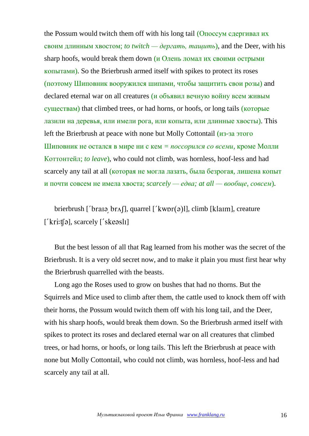the Possum would twitch them off with his long tail (Опоссум сдергивал их своим длинным хвостом; *to twitch — дергать, тащить*), and the Deer, with his sharp hoofs, would break them down (и Олень ломал их своими острыми копытами). So the Brierbrush armed itself with spikes to protect its roses (поэтому Шиповник вооружился шипами, чтобы защитить свои розы) and declared eternal war on all creatures (и объявил вечную войну всем живым существам) that climbed trees, or had horns, or hoofs, or long tails (которые лазили на деревья, или имели рога, или копыта, или длинные хвосты). This left the Brierbrush at peace with none but Molly Cottontail (из-за этого Шиповник не остался в мире ни с кем *= поссорился со всеми*, кроме Молли Коттонтейл; *to leave*), who could not climb, was hornless, hoof-less and had scarcely any tail at all (которая не могла лазать, была безрогая, лишена копыт и почти совсем не имела хвоста; *scarcely — едва; at all — вообще, совсем*).

brierbrush ['braia br $\Lambda$ [], quarrel ['kwpr(a)l], climb [klaim], creature  $[$ *'kri:t*[ $\varphi$ ], scarcely  $[$ *'ske* $\varphi$ *sli*]

But the best lesson of all that Rag learned from his mother was the secret of the Brierbrush. It is a very old secret now, and to make it plain you must first hear why the Brierbrush quarrelled with the beasts.

Long ago the Roses used to grow on bushes that had no thorns. But the Squirrels and Mice used to climb after them, the cattle used to knock them off with their horns, the Possum would twitch them off with his long tail, and the Deer, with his sharp hoofs, would break them down. So the Brierbrush armed itself with spikes to protect its roses and declared eternal war on all creatures that climbed trees, or had horns, or hoofs, or long tails. This left the Brierbrush at peace with none but Molly Cottontail, who could not climb, was hornless, hoof-less and had scarcely any tail at all.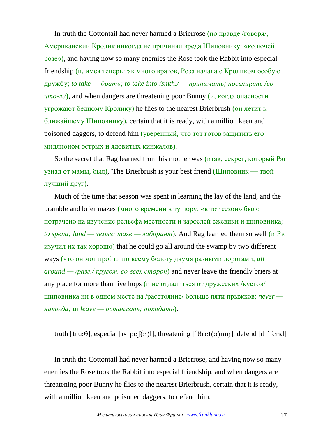In truth the Cottontail had never harmed a Brierrose (по правде /говоря/, Американский Кролик никогда не причинял вреда Шиповнику: «колючей розе»), and having now so many enemies the Rose took the Rabbit into especial friendship (и, имея теперь так много врагов, Роза начала с Кроликом особую дружбу; *to take — брать; to take into /smth./ — принимать; посвящать /во*  $\langle \psi \rangle$ <sub>*что-л.*/), and when dangers are threatening poor Bunny (и, когда опасности</sub> угрожают бедному Кролику) he flies to the nearest Brierbrush (он летит к ближайшему Шиповнику), certain that it is ready, with a million keen and poisoned daggers, to defend him (уверенный, что тот готов защитить его миллионом острых и ядовитых кинжалов).

So the secret that Rag learned from his mother was (итак, секрет, который Рэг узнал от мамы, был), 'The Brierbrush is your best friend (Шиповник — твой лучший друг).'

Much of the time that season was spent in learning the lay of the land, and the bramble and brier mazes (много времени в ту пору: «в тот сезон» было потрачено на изучение рельефа местности и зарослей ежевики и шиповника; *to spend; land — земля; maze — лабиринт*). And Rag learned them so well (и Рэг изучил их так хорошо) that he could go all around the swamp by two different ways (что он мог пройти по всему болоту двумя разными дорогами; *all around — /разг./ кругом, со всех сторон*) and never leave the friendly briers at any place for more than five hops (и не отдалиться от дружеских /кустов/ шиповника ни в одном месте на /расстояние/ больше пяти прыжков; *never никогда; to leave — оставлять; покидать*).

truth [tru: $\theta$ ], especial [Is' pe  $[(\theta)]$ ], threatening [' $\theta$ ret $(\theta)$ nII], defend [dI' fend]

In truth the Cottontail had never harmed a Brierrose, and having now so many enemies the Rose took the Rabbit into especial friendship, and when dangers are threatening poor Bunny he flies to the nearest Brierbrush, certain that it is ready, with a million keen and poisoned daggers, to defend him.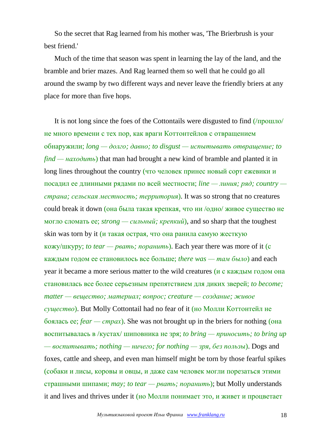So the secret that Rag learned from his mother was, 'The Brierbrush is your best friend.'

Much of the time that season was spent in learning the lay of the land, and the bramble and brier mazes. And Rag learned them so well that he could go all around the swamp by two different ways and never leave the friendly briers at any place for more than five hops.

It is not long since the foes of the Cottontails were disgusted to find (/прошло/ не много времени с тех пор, как враги Коттонтейлов с отвращением обнаружили; *long — долго; давно; to disgust — испытывать отвращение; to find — находить*) that man had brought a new kind of bramble and planted it in long lines throughout the country (что человек принес новый сорт ежевики и посадил ее длинными рядами по всей местности; *line — линия; ряд; country страна; сельская местность; территория*). It was so strong that no creatures could break it down (она была такая крепкая, что ни /одно/ живое существо не могло сломать ее; *strong — сильный; крепкий*), and so sharp that the toughest skin was torn by it (и такая острая, что она ранила самую жесткую кожу/шкуру; *to tear — рвать; поранить*). Each year there was more of it (с каждым годом ее становилось все больше; *there was — там было*) and each year it became a more serious matter to the wild creatures (и с каждым годом она становилась все более серьезным препятствием для диких зверей; *to become; matter — вещество; материал; вопрос; creature — создание; живое существо*). But Molly Cottontail had no fear of it (но Молли Коттонтейл не боялась ее; *fear — страх*). She was not brought up in the briers for nothing (она воспитывалась в /кустах/ шиповника не зря; *to bring — приносить; to bring up — воспитывать; nothing — ничего; for nothing — зря, без пользы*). Dogs and foxes, cattle and sheep, and even man himself might be torn by those fearful spikes (собаки и лисы, коровы и овцы, и даже сам человек могли порезаться этими страшными шипами; *may; to tear — рвать; поранить*); but Molly understands it and lives and thrives under it (но Молли понимает это, и живет и процветает